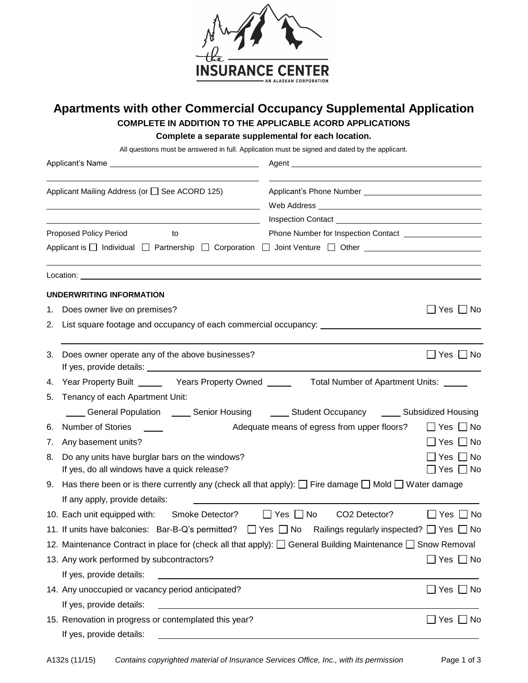

## **Apartments with other Commercial Occupancy Supplemental Application COMPLETE IN ADDITION TO THE APPLICABLE ACORD APPLICATIONS**

**Complete a separate supplemental for each location.**

All questions must be answered in full. Application must be signed and dated by the applicant.

|    | Applicant Mailing Address (or □ See ACORD 125)                                                                                                     |                                                         |                      |                |  |
|----|----------------------------------------------------------------------------------------------------------------------------------------------------|---------------------------------------------------------|----------------------|----------------|--|
|    | <u> 1989 - Johann Stoff, amerikansk politiker (d. 1989)</u>                                                                                        |                                                         |                      |                |  |
|    | <u> 1989 - Johann Stein, marwolaethau a bhann an t-Amhain an t-Amhain an t-Amhain an t-Amhain an t-Amhain an t-A</u>                               |                                                         |                      |                |  |
|    | Proposed Policy Period<br>to                                                                                                                       | Phone Number for Inspection Contact <b>CONSCRIPTION</b> |                      |                |  |
|    | Applicant is □ Individual □ Partnership □ Corporation □ Joint Venture □ Other                                                                      |                                                         |                      |                |  |
|    |                                                                                                                                                    |                                                         |                      |                |  |
|    | UNDERWRITING INFORMATION                                                                                                                           |                                                         |                      |                |  |
|    | 1. Does owner live on premises?                                                                                                                    |                                                         | $\Box$ Yes $\Box$ No |                |  |
|    | 2. List square footage and occupancy of each commercial occupancy: _________________________________                                               |                                                         |                      |                |  |
| 3. | Does owner operate any of the above businesses?                                                                                                    |                                                         | $\Box$ Yes $\Box$ No |                |  |
| 4. | Year Property Built ________ Years Property Owned _________ Total Number of Apartment Units: ______                                                |                                                         |                      |                |  |
| 5. | Tenancy of each Apartment Unit:                                                                                                                    |                                                         |                      |                |  |
|    | ____ General Population  ____ Senior Housing  _____ Student Occupancy  ____ Subsidized Housing                                                     |                                                         |                      |                |  |
| 6. | Adequate means of egress from upper floors?<br>Number of Stories                                                                                   |                                                         | $\Box$ Yes $\Box$ No |                |  |
| 7. | Any basement units?                                                                                                                                |                                                         |                      | _  Yes   _  No |  |
| 8. | Do any units have burglar bars on the windows?<br>If yes, do all windows have a quick release?                                                     |                                                         | ⊃Yes □ No            | 7 Yes □ No     |  |
| 9. | Has there been or is there currently any (check all that apply): $\Box$ Fire damage $\Box$ Mold $\Box$ Water damage                                |                                                         |                      |                |  |
|    | If any apply, provide details:                                                                                                                     |                                                         |                      |                |  |
|    | 10. Each unit equipped with: Smoke Detector? □ Yes □ No CO2 Detector?                                                                              |                                                         | $\Box$ Yes $\Box$ No |                |  |
|    | 11. If units have balconies: Bar-B-Q's permitted? $\Box$ Yes $\Box$ No Railings regularly inspected? $\Box$ Yes $\Box$ No                          |                                                         |                      |                |  |
|    | 12. Maintenance Contract in place for (check all that apply): $\Box$ General Building Maintenance $\Box$ Snow Removal                              |                                                         |                      |                |  |
|    | 13. Any work performed by subcontractors?                                                                                                          |                                                         | $\Box$ Yes $\Box$ No |                |  |
|    | If yes, provide details:<br><u> Alexandria de la contrada de la contrada de la contrada de la contrada de la contrada de la contrada de la c</u>   |                                                         |                      |                |  |
|    | 14. Any unoccupied or vacancy period anticipated?                                                                                                  |                                                         |                      | ]Yes □ No      |  |
|    | If yes, provide details:<br><u> 1989 - Johann Barn, mars ann an t-Amhain ann an t-Amhain an t-Amhain an t-Amhain an t-Amhain an t-Amhain an t-</u> |                                                         |                      |                |  |
|    | 15. Renovation in progress or contemplated this year?<br>If yes, provide details:                                                                  |                                                         | $\Box$ Yes $\Box$ No |                |  |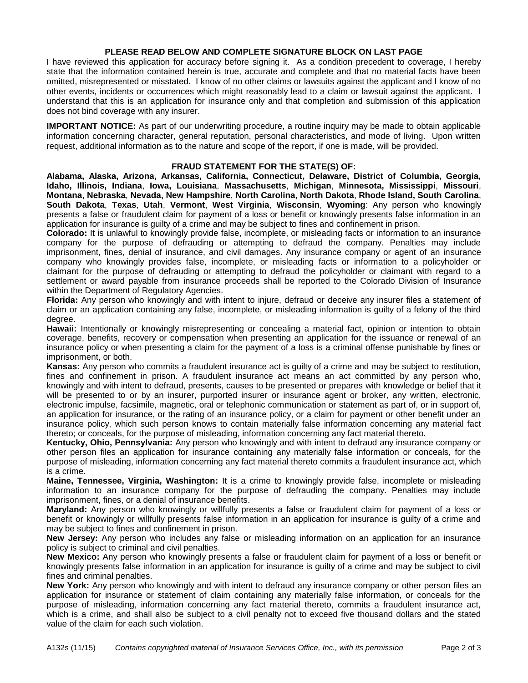## **PLEASE READ BELOW AND COMPLETE SIGNATURE BLOCK ON LAST PAGE**

I have reviewed this application for accuracy before signing it. As a condition precedent to coverage, I hereby state that the information contained herein is true, accurate and complete and that no material facts have been omitted, misrepresented or misstated. I know of no other claims or lawsuits against the applicant and I know of no other events, incidents or occurrences which might reasonably lead to a claim or lawsuit against the applicant. I understand that this is an application for insurance only and that completion and submission of this application does not bind coverage with any insurer.

**IMPORTANT NOTICE:** As part of our underwriting procedure, a routine inquiry may be made to obtain applicable information concerning character, general reputation, personal characteristics, and mode of living. Upon written request, additional information as to the nature and scope of the report, if one is made, will be provided.

## **FRAUD STATEMENT FOR THE STATE(S) OF:**

**Alabama, Alaska, Arizona, Arkansas, California, Connecticut, Delaware, District of Columbia, Georgia, Idaho, Illinois, Indiana**, **Iowa, Louisiana**, **Massachusetts**, **Michigan**, **Minnesota, Mississippi**, **Missouri**, **Montana**, **Nebraska**, **Nevada, New Hampshire**, **North Carolina**, **North Dakota**, **Rhode Island, South Carolina**, **South Dakota**, **Texas**, **Utah**, **Vermont**, **West Virginia**, **Wisconsin**, **Wyoming**: Any person who knowingly presents a false or fraudulent claim for payment of a loss or benefit or knowingly presents false information in an application for insurance is guilty of a crime and may be subject to fines and confinement in prison.

**Colorado:** It is unlawful to knowingly provide false, incomplete, or misleading facts or information to an insurance company for the purpose of defrauding or attempting to defraud the company. Penalties may include imprisonment, fines, denial of insurance, and civil damages. Any insurance company or agent of an insurance company who knowingly provides false, incomplete, or misleading facts or information to a policyholder or claimant for the purpose of defrauding or attempting to defraud the policyholder or claimant with regard to a settlement or award payable from insurance proceeds shall be reported to the Colorado Division of Insurance within the Department of Regulatory Agencies.

**Florida:** Any person who knowingly and with intent to injure, defraud or deceive any insurer files a statement of claim or an application containing any false, incomplete, or misleading information is guilty of a felony of the third degree.

**Hawaii:** Intentionally or knowingly misrepresenting or concealing a material fact, opinion or intention to obtain coverage, benefits, recovery or compensation when presenting an application for the issuance or renewal of an insurance policy or when presenting a claim for the payment of a loss is a criminal offense punishable by fines or imprisonment, or both.

**Kansas:** Any person who commits a fraudulent insurance act is guilty of a crime and may be subject to restitution, fines and confinement in prison. A fraudulent insurance act means an act committed by any person who, knowingly and with intent to defraud, presents, causes to be presented or prepares with knowledge or belief that it will be presented to or by an insurer, purported insurer or insurance agent or broker, any written, electronic, electronic impulse, facsimile, magnetic, oral or telephonic communication or statement as part of, or in support of, an application for insurance, or the rating of an insurance policy, or a claim for payment or other benefit under an insurance policy, which such person knows to contain materially false information concerning any material fact thereto; or conceals, for the purpose of misleading, information concerning any fact material thereto.

**Kentucky, Ohio, Pennsylvania:** Any person who knowingly and with intent to defraud any insurance company or other person files an application for insurance containing any materially false information or conceals, for the purpose of misleading, information concerning any fact material thereto commits a fraudulent insurance act, which is a crime.

**Maine, Tennessee, Virginia, Washington:** It is a crime to knowingly provide false, incomplete or misleading information to an insurance company for the purpose of defrauding the company. Penalties may include imprisonment, fines, or a denial of insurance benefits.

**Maryland:** Any person who knowingly or willfully presents a false or fraudulent claim for payment of a loss or benefit or knowingly or willfully presents false information in an application for insurance is guilty of a crime and may be subject to fines and confinement in prison.

**New Jersey:** Any person who includes any false or misleading information on an application for an insurance policy is subject to criminal and civil penalties.

**New Mexico:** Any person who knowingly presents a false or fraudulent claim for payment of a loss or benefit or knowingly presents false information in an application for insurance is guilty of a crime and may be subject to civil fines and criminal penalties.

**New York:** Any person who knowingly and with intent to defraud any insurance company or other person files an application for insurance or statement of claim containing any materially false information, or conceals for the purpose of misleading, information concerning any fact material thereto, commits a fraudulent insurance act, which is a crime, and shall also be subject to a civil penalty not to exceed five thousand dollars and the stated value of the claim for each such violation.